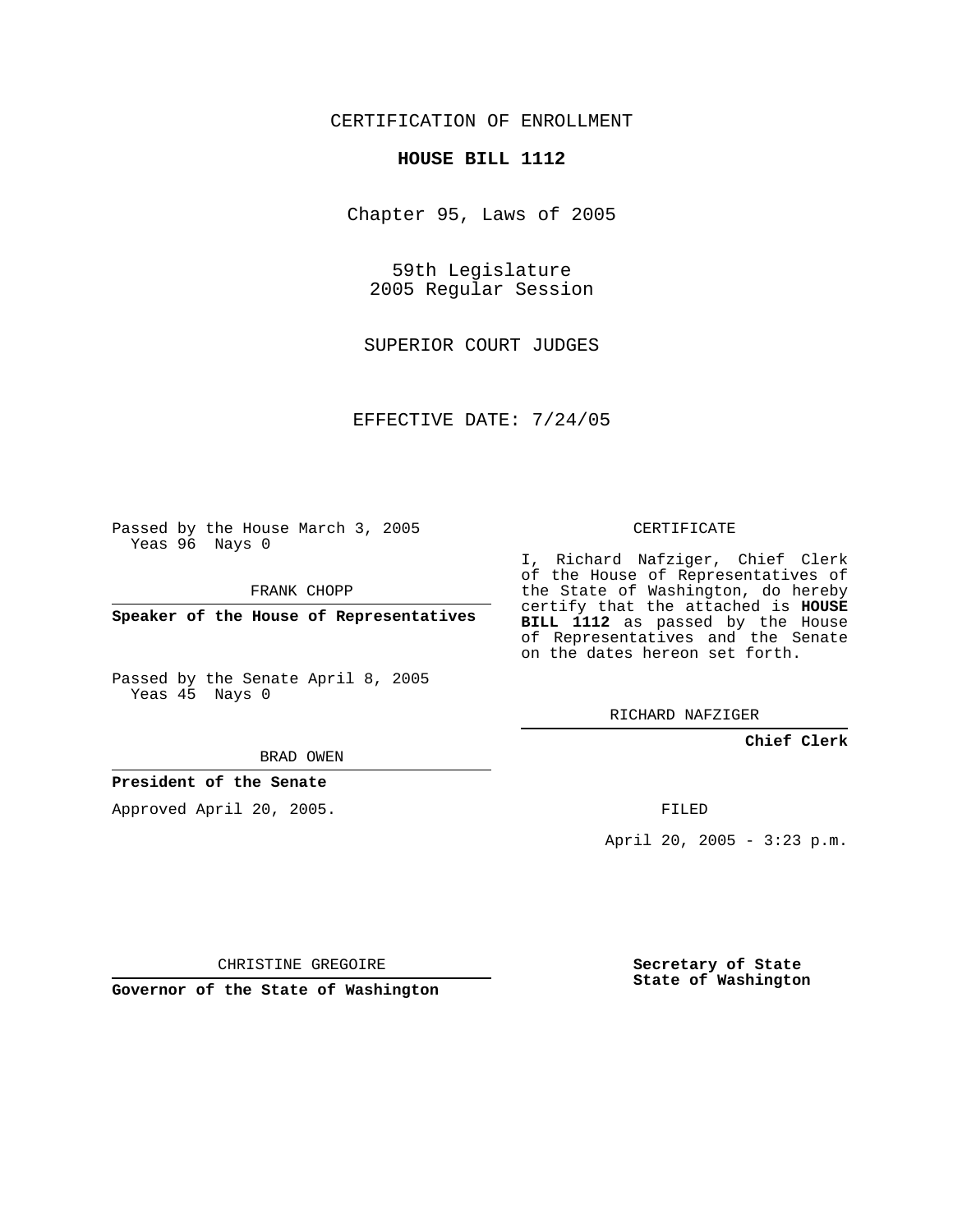## CERTIFICATION OF ENROLLMENT

#### **HOUSE BILL 1112**

Chapter 95, Laws of 2005

59th Legislature 2005 Regular Session

SUPERIOR COURT JUDGES

EFFECTIVE DATE: 7/24/05

Passed by the House March 3, 2005 Yeas 96 Nays 0

FRANK CHOPP

**Speaker of the House of Representatives**

Passed by the Senate April 8, 2005 Yeas 45 Nays 0

### CERTIFICATE

I, Richard Nafziger, Chief Clerk of the House of Representatives of the State of Washington, do hereby certify that the attached is **HOUSE BILL 1112** as passed by the House of Representatives and the Senate on the dates hereon set forth.

RICHARD NAFZIGER

### **Chief Clerk**

BRAD OWEN

### **President of the Senate**

Approved April 20, 2005.

FILED

April 20, 2005 - 3:23 p.m.

CHRISTINE GREGOIRE

**Governor of the State of Washington**

**Secretary of State State of Washington**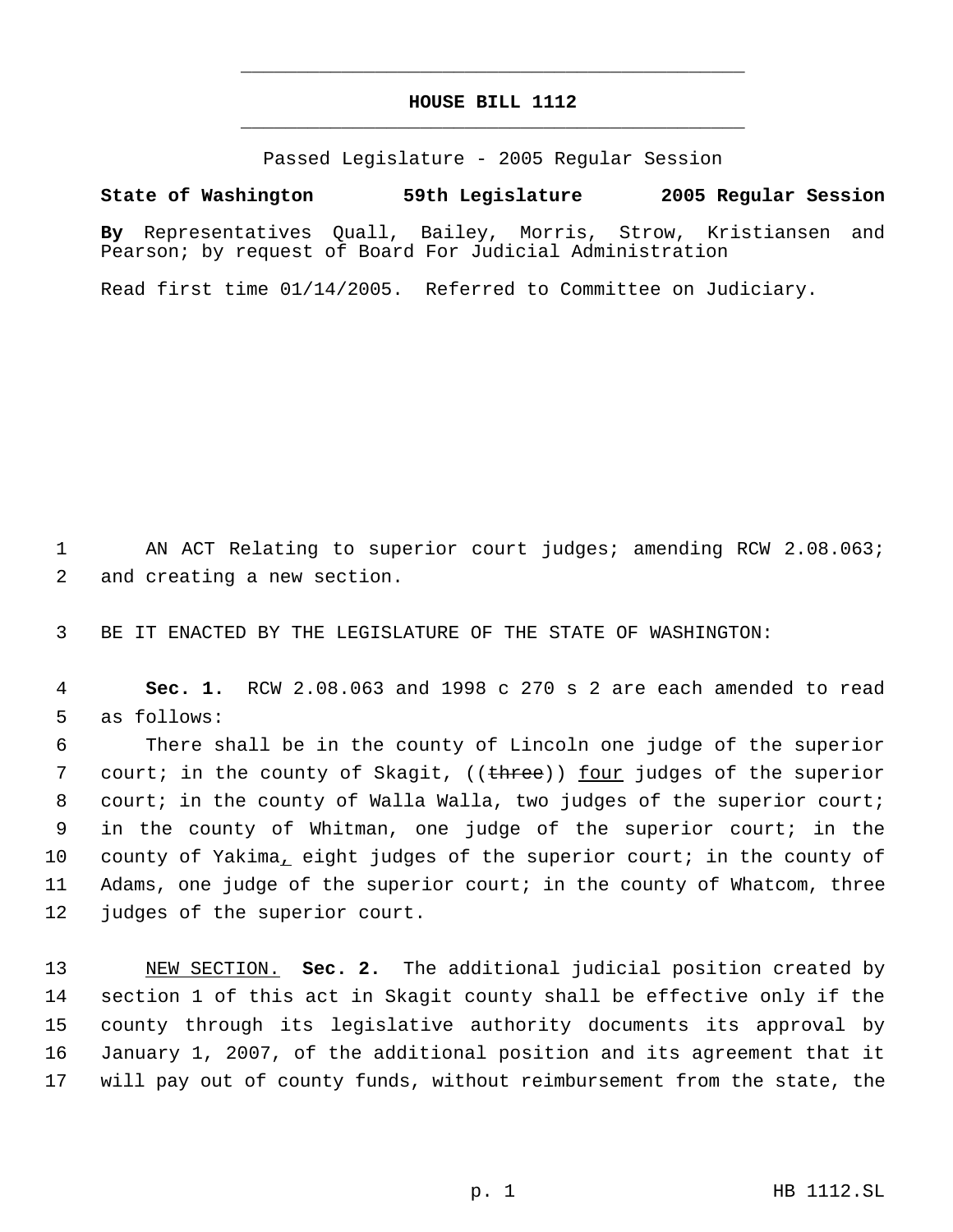# **HOUSE BILL 1112** \_\_\_\_\_\_\_\_\_\_\_\_\_\_\_\_\_\_\_\_\_\_\_\_\_\_\_\_\_\_\_\_\_\_\_\_\_\_\_\_\_\_\_\_\_

\_\_\_\_\_\_\_\_\_\_\_\_\_\_\_\_\_\_\_\_\_\_\_\_\_\_\_\_\_\_\_\_\_\_\_\_\_\_\_\_\_\_\_\_\_

Passed Legislature - 2005 Regular Session

**State of Washington 59th Legislature 2005 Regular Session**

**By** Representatives Quall, Bailey, Morris, Strow, Kristiansen and Pearson; by request of Board For Judicial Administration

Read first time 01/14/2005. Referred to Committee on Judiciary.

1 AN ACT Relating to superior court judges; amending RCW 2.08.063; 2 and creating a new section.

3 BE IT ENACTED BY THE LEGISLATURE OF THE STATE OF WASHINGTON:

 4 **Sec. 1.** RCW 2.08.063 and 1998 c 270 s 2 are each amended to read 5 as follows:

 There shall be in the county of Lincoln one judge of the superior 7 court; in the county of Skagit, ((<del>three</del>)) <u>four</u> judges of the superior court; in the county of Walla Walla, two judges of the superior court; in the county of Whitman, one judge of the superior court; in the county of Yakima, eight judges of the superior court; in the county of Adams, one judge of the superior court; in the county of Whatcom, three judges of the superior court.

 NEW SECTION. **Sec. 2.** The additional judicial position created by section 1 of this act in Skagit county shall be effective only if the county through its legislative authority documents its approval by January 1, 2007, of the additional position and its agreement that it will pay out of county funds, without reimbursement from the state, the